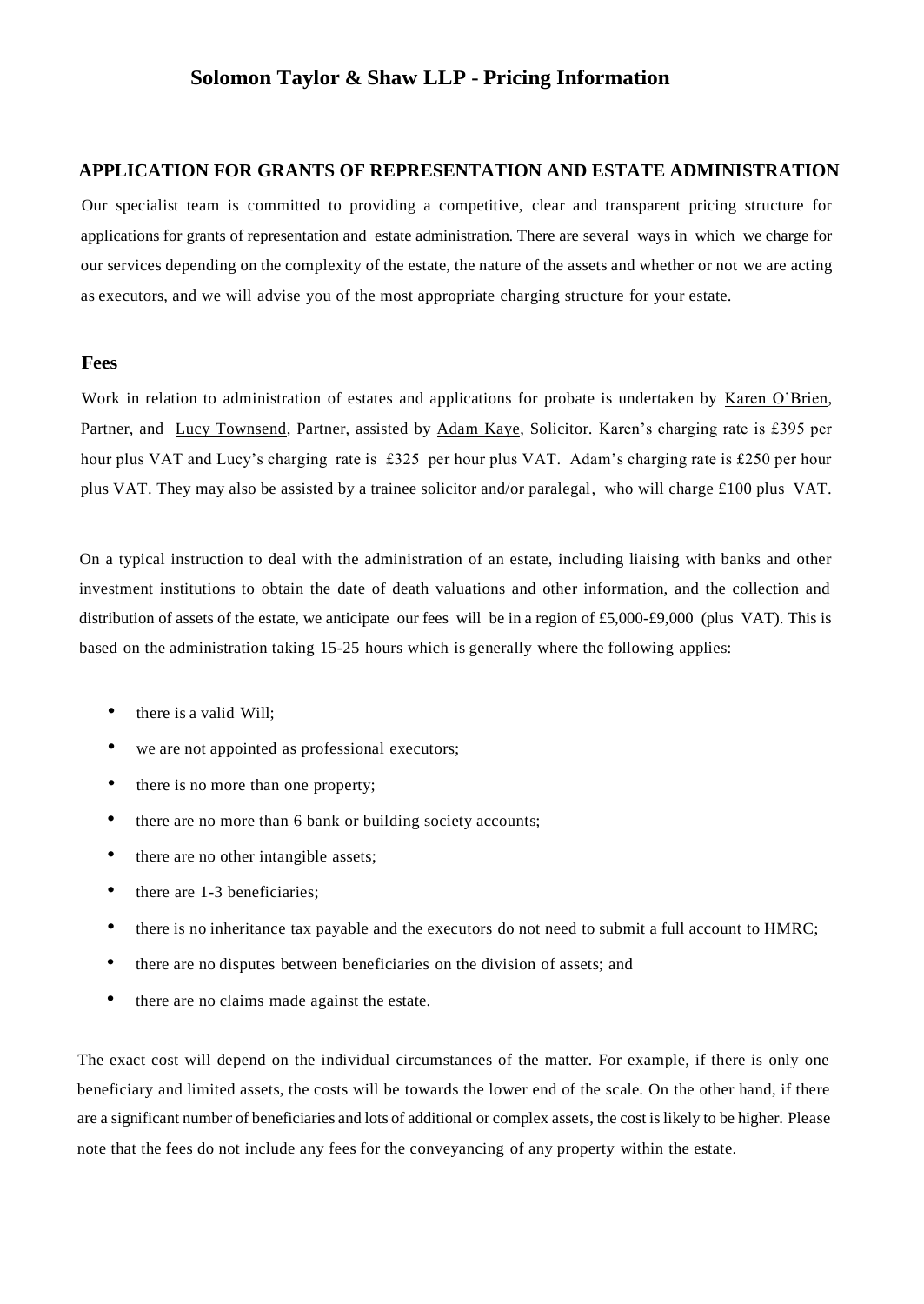# **Solomon Taylor & Shaw LLP - Pricing Information**

## **APPLICATION FOR GRANTS OF REPRESENTATION AND ESTATE ADMINISTRATION**

Our specialist team is committed to providing a competitive, clear and transparent pricing structure for applications for grants of representation and estate administration. There are several ways in which we charge for our services depending on the complexity of the estate, the nature of the assets and whether or not we are acting as executors, and we will advise you of the most appropriate charging structure for your estate.

#### **Fees**

Work in relation to administration of estates and applications for probate is undertaken by Karen O'Brien, Partner, and Lucy Townsend, Partner, assisted by Adam Kaye, Solicitor. Karen's charging rate is £395 per hour plus VAT and Lucy's charging rate is £325 per hour plus VAT. Adam's charging rate is £250 per hour plus VAT. They may also be assisted by a trainee solicitor and/or paralegal, who will charge £100 plus VAT.

On a typical instruction to deal with the administration of an estate, including liaising with banks and other investment institutions to obtain the date of death valuations and other information, and the collection and distribution of assets of the estate, we anticipate our fees will be in a region of £5,000-£9,000 (plus VAT). This is based on the administration taking 15-25 hours which is generally where the following applies:

- there is a valid Will;
- we are not appointed as professional executors;
- there is no more than one property;
- there are no more than 6 bank or building society accounts;
- there are no other intangible assets;
- there are 1-3 beneficiaries;
- there is no inheritance tax payable and the executors do not need to submit a full account to HMRC;
- there are no disputes between beneficiaries on the division of assets; and
- there are no claims made against the estate.

The exact cost will depend on the individual circumstances of the matter. For example, if there is only one beneficiary and limited assets, the costs will be towards the lower end of the scale. On the other hand, if there are a significant number of beneficiaries and lots of additional or complex assets, the cost is likely to be higher. Please note that the fees do not include any fees for the conveyancing of any property within the estate.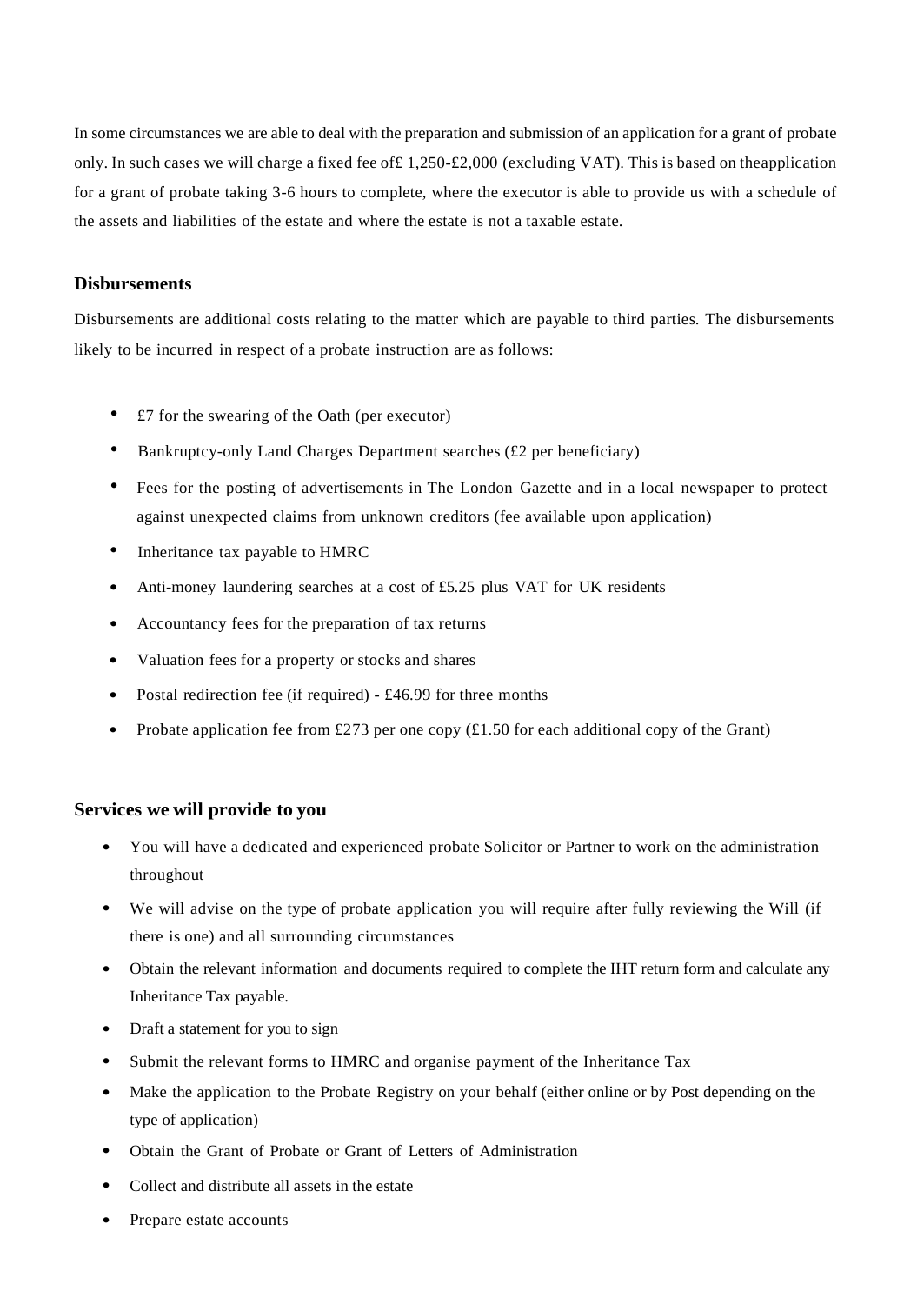In some circumstances we are able to deal with the preparation and submission of an application for a grant of probate only. In such cases we will charge a fixed fee of£ 1,250-£2,000 (excluding VAT). This is based on theapplication for a grant of probate taking 3-6 hours to complete, where the executor is able to provide us with a schedule of the assets and liabilities of the estate and where the estate is not a taxable estate.

#### **Disbursements**

Disbursements are additional costs relating to the matter which are payable to third parties. The disbursements likely to be incurred in respect of a probate instruction are as follows:

- £7 for the swearing of the Oath (per executor)
- Bankruptcy-only Land Charges Department searches (£2 per beneficiary)
- Fees for the posting of advertisements in The London Gazette and in a local newspaper to protect against unexpected claims from unknown creditors (fee available upon application)
- Inheritance tax payable to HMRC
- Anti-money laundering searches at a cost of £5.25 plus VAT for UK residents
- Accountancy fees for the preparation of tax returns
- Valuation fees for <sup>a</sup> property or stocks and shares
- Postal redirection fee (if required) £46.99 for three months
- Probate application fee from £273 per one copy  $(\text{\pounds}1.50$  for each additional copy of the Grant)

#### **Services we will provide to you**

- You will have <sup>a</sup> dedicated and experienced probate Solicitor or Partner to work on the administration throughout
- We will advise on the type of probate application you will require after fully reviewing the Will (if there is one) and all surrounding circumstances
- Obtain the relevant information and documents required to complete the IHT return form and calculate any Inheritance Tax payable.
- Draft a statement for you to sign
- Submit the relevant forms to HMRC and organise payment of the Inheritance Tax
- Make the application to the Probate Registry on your behalf (either online or by Post depending on the type of application)
- Obtain the Grant of Probate or Grant of Letters of Administration
- Collect and distribute all assets in the estate
- Prepare estate accounts